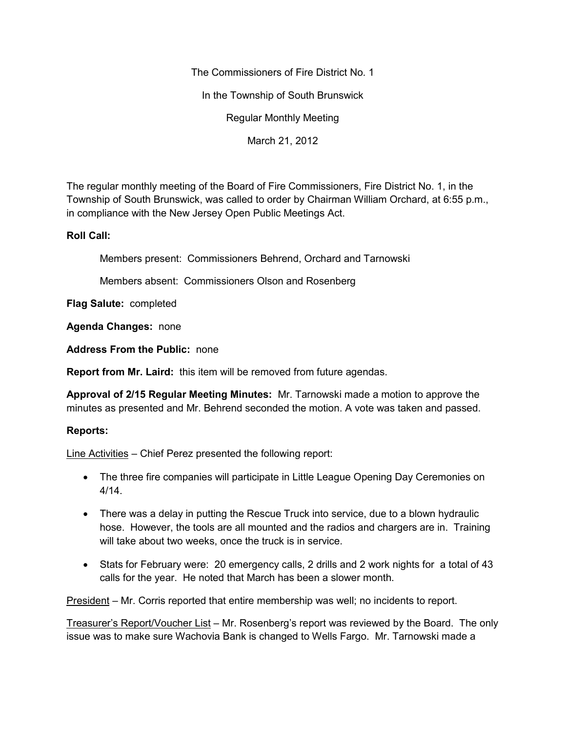The Commissioners of Fire District No. 1

In the Township of South Brunswick

Regular Monthly Meeting

March 21, 2012

The regular monthly meeting of the Board of Fire Commissioners, Fire District No. 1, in the Township of South Brunswick, was called to order by Chairman William Orchard, at 6:55 p.m., in compliance with the New Jersey Open Public Meetings Act.

## **Roll Call:**

Members present: Commissioners Behrend, Orchard and Tarnowski

Members absent: Commissioners Olson and Rosenberg

**Flag Salute:** completed

**Agenda Changes:** none

**Address From the Public:** none

**Report from Mr. Laird:** this item will be removed from future agendas.

**Approval of 2/15 Regular Meeting Minutes:** Mr. Tarnowski made a motion to approve the minutes as presented and Mr. Behrend seconded the motion. A vote was taken and passed.

## **Reports:**

Line Activities – Chief Perez presented the following report:

- The three fire companies will participate in Little League Opening Day Ceremonies on 4/14.
- There was a delay in putting the Rescue Truck into service, due to a blown hydraulic hose. However, the tools are all mounted and the radios and chargers are in. Training will take about two weeks, once the truck is in service.
- Stats for February were: 20 emergency calls, 2 drills and 2 work nights for a total of 43 calls for the year. He noted that March has been a slower month.

President – Mr. Corris reported that entire membership was well; no incidents to report.

Treasurer's Report/Voucher List – Mr. Rosenberg's report was reviewed by the Board. The only issue was to make sure Wachovia Bank is changed to Wells Fargo. Mr. Tarnowski made a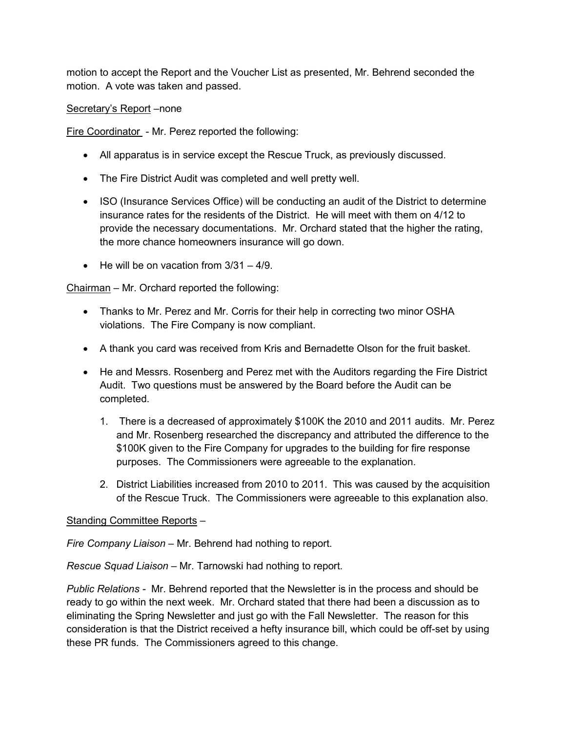motion to accept the Report and the Voucher List as presented, Mr. Behrend seconded the motion. A vote was taken and passed.

Secretary's Report –none

Fire Coordinator - Mr. Perez reported the following:

- All apparatus is in service except the Rescue Truck, as previously discussed.
- The Fire District Audit was completed and well pretty well.
- ISO (Insurance Services Office) will be conducting an audit of the District to determine insurance rates for the residents of the District. He will meet with them on 4/12 to provide the necessary documentations. Mr. Orchard stated that the higher the rating, the more chance homeowners insurance will go down.
- $\bullet$  He will be on vacation from  $3/31 4/9$ .

Chairman – Mr. Orchard reported the following:

- Thanks to Mr. Perez and Mr. Corris for their help in correcting two minor OSHA violations. The Fire Company is now compliant.
- A thank you card was received from Kris and Bernadette Olson for the fruit basket.
- He and Messrs. Rosenberg and Perez met with the Auditors regarding the Fire District Audit. Two questions must be answered by the Board before the Audit can be completed.
	- 1. There is a decreased of approximately \$100K the 2010 and 2011 audits. Mr. Perez and Mr. Rosenberg researched the discrepancy and attributed the difference to the \$100K given to the Fire Company for upgrades to the building for fire response purposes. The Commissioners were agreeable to the explanation.
	- 2. District Liabilities increased from 2010 to 2011. This was caused by the acquisition of the Rescue Truck. The Commissioners were agreeable to this explanation also.

## Standing Committee Reports –

*Fire Company Liaison –* Mr. Behrend had nothing to report.

*Rescue Squad Liaison –* Mr. Tarnowski had nothing to report.

*Public Relations -* Mr. Behrend reported that the Newsletter is in the process and should be ready to go within the next week. Mr. Orchard stated that there had been a discussion as to eliminating the Spring Newsletter and just go with the Fall Newsletter. The reason for this consideration is that the District received a hefty insurance bill, which could be off-set by using these PR funds. The Commissioners agreed to this change.